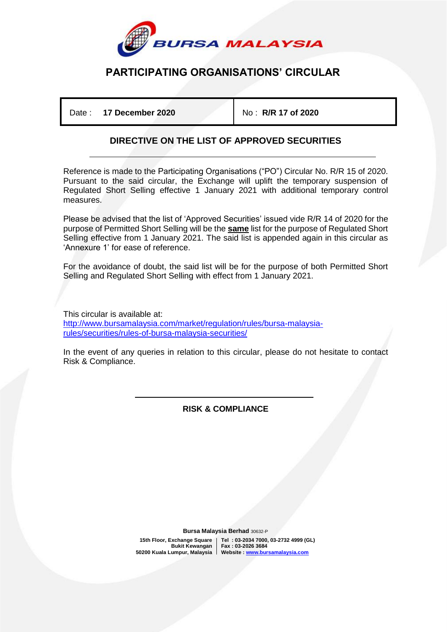

# **PARTICIPATING ORGANISATIONS' CIRCULAR**

Date : **17 December 2020** No : **R/R 17 of 2020**

#### **DIRECTIVE ON THE LIST OF APPROVED SECURITIES**

Reference is made to the Participating Organisations ("PO") Circular No. R/R 15 of 2020. Pursuant to the said circular, the Exchange will uplift the temporary suspension of Regulated Short Selling effective 1 January 2021 with additional temporary control measures.

Please be advised that the list of 'Approved Securities' issued vide R/R 14 of 2020 for the purpose of Permitted Short Selling will be the **same** list for the purpose of Regulated Short Selling effective from 1 January 2021. The said list is appended again in this circular as 'Annexure 1' for ease of reference.

For the avoidance of doubt, the said list will be for the purpose of both Permitted Short Selling and Regulated Short Selling with effect from 1 January 2021.

This circular is available at: [http://www.bursamalaysia.com/market/regulation/rules/bursa-malaysia](https://www.bursamalaysia.com/regulation/securities/rules_of_bursa_malaysia_securities)[rules/securities/rules-of-bursa-malaysia-securities/](https://www.bursamalaysia.com/regulation/securities/rules_of_bursa_malaysia_securities)

In the event of any queries in relation to this circular, please do not hesitate to contact Risk & Compliance.

> İ **RISK & COMPLIANCE**

 **Bursa Malaysia Berhad** 30632-P

 **15th Floor, Exchange Square Tel : 03-2034 7000, 03-2732 4999 (GL) Bukit Kewangan Fax : 03-2026 3684 50200 Kuala Lumpur, Malaysia Website [: www.bursamalaysia.com](http://www.bursamalaysia.com/)**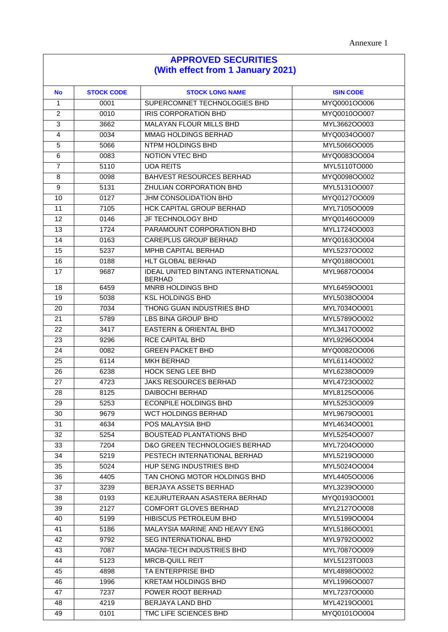#### **APPROVED SECURITIES (With effect from 1 January 2021) No STOCK CODE STOCK LONG NAME ISIN CODE** 1 0001 SUPERCOMNET TECHNOLOGIES BHD MYQ0001OO006 2 0010 IRIS CORPORATION BHD MYQ0010OO007 3662 MALAYAN FLOUR MILLS BHD MYL3662OO003 0034 MMAG HOLDINGS BERHAD MYQ0034OO007 5066 NTPM HOLDINGS BHD MYL5066OO005 6 0083 NOTION VTEC BHD MYQ0083OO004 T 5110 UOA REITS MYL5110TO000 8 0098 BAHVEST RESOURCES BERHAD MYQ0098OO002 5131 ZHULIAN CORPORATION BHD MYL5131OO007 10 0127 JHM CONSOLIDATION BHD MYQ0127OO009 11 | 7105 | HCK CAPITAL GROUP BERHAD | MYL7105OO009 0146 JF TECHNOLOGY BHD MYQ0146OO009 1724 PARAMOUNT CORPORATION BHD MYL1724OO003 14 0163 CAREPLUS GROUP BERHAD MYQ0163OO004 5237 MPHB CAPITAL BERHAD MYL5237OO002 0188 HLT GLOBAL BERHAD MYQ0188OO001 17 | 9687 | IDEAL UNITED BINTANG INTERNATIONAL BERHAD MYL9687OO004 6459 MNRB HOLDINGS BHD MYL6459OO001 19 | 5038 | KSL HOLDINGS BHD | MYL5038OO004 7034 THONG GUAN INDUSTRIES BHD MYL7034OO001 5789 LBS BINA GROUP BHD MYL5789OO002 3417 EASTERN & ORIENTAL BHD MYL3417OO002 23 9296 RCE CAPITAL BHD MYL9296OO004 0082 GREEN PACKET BHD MYQ0082OO006 6114 MKH BERHAD MYL6114OO002 26 | 6238 | HOCK SENG LEE BHD | MYL6238OO009 4723 JAKS RESOURCES BERHAD MYL4723OO002 8125 DAIBOCHI BERHAD MYL8125OO006 5253 ECONPILE HOLDINGS BHD MYL5253OO009 9679 WCT HOLDINGS BERHAD MYL9679OO001 4634 POS MALAYSIA BHD MYL4634OO001 5254 BOUSTEAD PLANTATIONS BHD MYL5254OO007 7204 D&O GREEN TECHNOLOGIES BERHAD MYL7204OO000 5219 PESTECH INTERNATIONAL BERHAD MYL5219OO000 5024 HUP SENG INDUSTRIES BHD MYL5024OO004 4405 TAN CHONG MOTOR HOLDINGS BHD MYL4405OO006 3239 BERJAYA ASSETS BERHAD MYL3239OO000 0193 KEJURUTERAAN ASASTERA BERHAD MYQ0193OO001 2127 COMFORT GLOVES BERHAD MYL2127OO008 5199 HIBISCUS PETROLEUM BHD MYL5199OO004 5186 MALAYSIA MARINE AND HEAVY ENG MYL5186OO001 42 9792 SEG INTERNATIONAL BHD MYL9792OO002 7087 MAGNI-TECH INDUSTRIES BHD MYL7087OO009 5123 MRCB-QUILL REIT MYL5123TO003 4898 TA ENTERPRISE BHD MYL4898OO002 1996 KRETAM HOLDINGS BHD MYL1996OO007 47 | 7237 POWER ROOT BERHAD | MYL7237OO000

 4219 BERJAYA LAND BHD MYL4219OO001 0101 TMC LIFE SCIENCES BHD MYQ0101OO004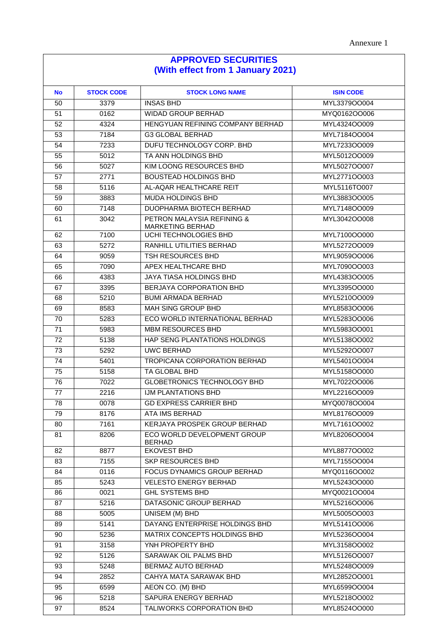## **APPROVED SECURITIES (With effect from 1 January 2021)**

| <b>No</b>       | <b>STOCK CODE</b> | <b>STOCK LONG NAME</b>                                    | <b>ISIN CODE</b>             |
|-----------------|-------------------|-----------------------------------------------------------|------------------------------|
| 50              | 3379              | <b>INSAS BHD</b>                                          | MYL3379OO004                 |
| 51              | 0162              | <b>WIDAD GROUP BERHAD</b>                                 | MYQ0162OO006                 |
| 52              | 4324              | HENGYUAN REFINING COMPANY BERHAD                          | MYL4324OO009                 |
| 53              | 7184              | <b>G3 GLOBAL BERHAD</b>                                   | MYL7184OO004                 |
| 54              | 7233              | DUFU TECHNOLOGY CORP. BHD                                 | MYL7233OO009                 |
| 55              | 5012              | TA ANN HOLDINGS BHD                                       | MYL5012OO009                 |
| 56              | 5027              | KIM LOONG RESOURCES BHD                                   | MYL5027OO007                 |
| 57              | 2771              | <b>BOUSTEAD HOLDINGS BHD</b>                              | MYL2771OO003                 |
| 58              | 5116              | AL-AQAR HEALTHCARE REIT                                   | MYL5116TO007                 |
| 59              | 3883              | <b>MUDA HOLDINGS BHD</b>                                  | MYL3883OO005                 |
| 60              | 7148              | DUOPHARMA BIOTECH BERHAD                                  | MYL7148OO009                 |
| 61              | 3042              | PETRON MALAYSIA REFINING &<br>MARKETING BERHAD            | MYL3042OO008                 |
| 62              | 7100              | UCHI TECHNOLOGIES BHD                                     | MYL7100OO000                 |
| 63              | 5272              | RANHILL UTILITIES BERHAD                                  | MYL5272OO009                 |
| 64              | 9059              | <b>TSH RESOURCES BHD</b>                                  | MYL9059OO006                 |
| 65              | 7090              | APEX HEALTHCARE BHD                                       | MYL7090OO003                 |
| 66              | 4383              | JAYA TIASA HOLDINGS BHD                                   | MYL4383OO005                 |
| 67              | 3395              | <b>BERJAYA CORPORATION BHD</b>                            | MYL3395OO000                 |
| 68              | 5210              | <b>BUMI ARMADA BERHAD</b>                                 | MYL5210OO009                 |
| 69              | 8583              | <b>MAH SING GROUP BHD</b>                                 | MYL8583OO006                 |
| 70              | 5283              | ECO WORLD INTERNATIONAL BERHAD                            | MYL5283OO006                 |
| 71              | 5983              | <b>MBM RESOURCES BHD</b>                                  | MYL5983OO001                 |
| 72              | 5138              | HAP SENG PLANTATIONS HOLDINGS                             | MYL5138OO002                 |
| 73              | 5292              | UWC BERHAD                                                | MYL5292OO007                 |
| 74              | 5401              | <b>TROPICANA CORPORATION BERHAD</b>                       | MYL5401OO004<br>MYL5158OO000 |
| 75              | 5158              | TA GLOBAL BHD                                             |                              |
| 76<br>77        | 7022<br>2216      | <b>GLOBETRONICS TECHNOLOGY BHD</b><br>IJM PLANTATIONS BHD | MYL7022OO006<br>MYL2216OO009 |
| 78              | 0078              | <b>GD EXPRESS CARRIER BHD</b>                             | MYQ0078OO004                 |
| 79              | 8176              | ATA IMS BERHAD                                            | MYL8176OO009                 |
| 80              | 7161              | KERJAYA PROSPEK GROUP BERHAD                              | MYL7161OO002                 |
| 81              | 8206              | ECO WORLD DEVELOPMENT GROUP                               | MYL8206OO004                 |
|                 |                   | <b>BERHAD</b>                                             |                              |
| 82              | 8877              | <b>EKOVEST BHD</b>                                        | MYL8877OO002                 |
| 83              | 7155              | SKP RESOURCES BHD                                         | MYL7155OO004                 |
| 84              | 0116              | FOCUS DYNAMICS GROUP BERHAD                               | MYQ0116OO002                 |
| 85              | 5243              | <b>VELESTO ENERGY BERHAD</b>                              | MYL5243OO000                 |
| 86              | 0021              | <b>GHL SYSTEMS BHD</b>                                    | MYQ0021OO004                 |
| 87              | 5216              | DATASONIC GROUP BERHAD                                    | MYL5216OO006                 |
| 88              | 5005              | UNISEM (M) BHD                                            | MYL5005OO003                 |
| 89              | 5141              | DAYANG ENTERPRISE HOLDINGS BHD                            | MYL5141OO006                 |
| 90              | 5236              | MATRIX CONCEPTS HOLDINGS BHD                              | MYL5236OO004                 |
| 91              | 3158              | YNH PROPERTY BHD                                          | MYL3158OO002                 |
| 92              | 5126              | SARAWAK OIL PALMS BHD                                     | MYL5126OO007                 |
| 93              | 5248              | BERMAZ AUTO BERHAD                                        | MYL5248OO009                 |
| 94              | 2852              | CAHYA MATA SARAWAK BHD                                    | MYL2852OO001                 |
| 95              | 6599              | AEON CO. (M) BHD                                          | MYL6599OO004                 |
| 96              | 5218              | SAPURA ENERGY BERHAD                                      | MYL5218OO002                 |
| $\overline{97}$ | 8524              | TALIWORKS CORPORATION BHD                                 | MYL8524OO000                 |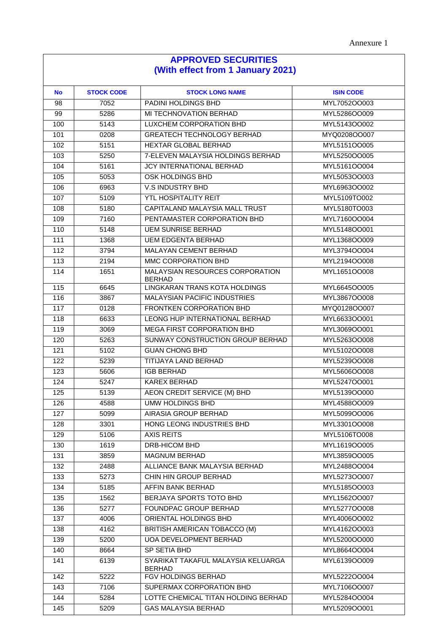## **APPROVED SECURITIES (With effect from 1 January 2021)**

| <b>No</b> | <b>STOCK CODE</b> | <b>STOCK LONG NAME</b>                              | <b>ISIN CODE</b> |  |
|-----------|-------------------|-----------------------------------------------------|------------------|--|
| 98        | 7052              | PADINI HOLDINGS BHD                                 | MYL7052OO003     |  |
| 99        | 5286              | MI TECHNOVATION BERHAD                              | MYL5286OO009     |  |
| 100       | 5143              | LUXCHEM CORPORATION BHD                             | MYL5143OO002     |  |
| 101       | 0208              | <b>GREATECH TECHNOLOGY BERHAD</b>                   | MYQ0208OO007     |  |
| 102       | 5151              | HEXTAR GLOBAL BERHAD                                | MYL5151OO005     |  |
| 103       | 5250              | 7-ELEVEN MALAYSIA HOLDINGS BERHAD                   | MYL5250OO005     |  |
| 104       | 5161              | <b>JCY INTERNATIONAL BERHAD</b>                     | MYL5161OO004     |  |
| 105       | 5053              | OSK HOLDINGS BHD                                    | MYL5053OO003     |  |
| 106       | 6963              | V.S INDUSTRY BHD                                    | MYL6963OO002     |  |
| 107       | 5109              | <b>YTL HOSPITALITY REIT</b>                         | MYL5109TO002     |  |
| 108       | 5180              | CAPITALAND MALAYSIA MALL TRUST                      | MYL5180TO003     |  |
| 109       | 7160              | PENTAMASTER CORPORATION BHD                         | MYL7160OO004     |  |
| 110       | 5148              | <b>UEM SUNRISE BERHAD</b>                           | MYL5148OO001     |  |
| 111       | 1368              | <b>UEM EDGENTA BERHAD</b>                           | MYL1368OO009     |  |
| 112       | 3794              | MALAYAN CEMENT BERHAD                               | MYL3794OO004     |  |
| 113       | 2194              | MMC CORPORATION BHD                                 | MYL2194OO008     |  |
| 114       | 1651              | MALAYSIAN RESOURCES CORPORATION<br><b>BERHAD</b>    | MYL1651OO008     |  |
| 115       | 6645              | LINGKARAN TRANS KOTA HOLDINGS                       | MYL6645OO005     |  |
| 116       | 3867              | <b>MALAYSIAN PACIFIC INDUSTRIES</b>                 | MYL3867OO008     |  |
| 117       | 0128              | FRONTKEN CORPORATION BHD                            | MYQ0128OO007     |  |
| 118       | 6633              | LEONG HUP INTERNATIONAL BERHAD                      | MYL6633OO001     |  |
| 119       | 3069              | MEGA FIRST CORPORATION BHD                          | MYL3069OO001     |  |
| 120       | 5263              | SUNWAY CONSTRUCTION GROUP BERHAD                    | MYL5263OO008     |  |
| 121       | 5102              | <b>GUAN CHONG BHD</b>                               | MYL5102OO008     |  |
| 122       | 5239              | TITIJAYA LAND BERHAD                                | MYL5239OO008     |  |
| 123       | 5606              | <b>IGB BERHAD</b>                                   | MYL5606OO008     |  |
| 124       | 5247              | <b>KAREX BERHAD</b>                                 | MYL5247OO001     |  |
| 125       | 5139              | AEON CREDIT SERVICE (M) BHD                         | MYL5139OO000     |  |
| 126       | 4588              | <b>UMW HOLDINGS BHD</b>                             | MYL4588OO009     |  |
| 127       | 5099              | <b>AIRASIA GROUP BERHAD</b>                         | MYL5099OO006     |  |
| 128       | 3301              | HONG LEONG INDUSTRIES BHD                           | MYL3301OO008     |  |
| 129       | 5106              | <b>AXIS REITS</b>                                   | MYL5106TO008     |  |
| 130       | 1619              | DRB-HICOM BHD                                       | MYL1619OO005     |  |
| 131       | 3859              | <b>MAGNUM BERHAD</b>                                | MYL3859OO005     |  |
| 132       | 2488              | ALLIANCE BANK MALAYSIA BERHAD                       | MYL2488OO004     |  |
| 133       | 5273              | CHIN HIN GROUP BERHAD                               | MYL5273OO007     |  |
| 134       | 5185              | AFFIN BANK BERHAD                                   | MYL5185OO003     |  |
| 135       | 1562              | BERJAYA SPORTS TOTO BHD                             | MYL1562OO007     |  |
| 136       | 5277              | FOUNDPAC GROUP BERHAD                               | MYL5277OO008     |  |
| 137       | 4006              | ORIENTAL HOLDINGS BHD                               | MYL4006OO002     |  |
| 138       | 4162              | BRITISH AMERICAN TOBACCO (M)                        | MYL4162OO003     |  |
| 139       | 5200              | UOA DEVELOPMENT BERHAD                              | MYL5200OO000     |  |
| 140       | 8664              | SP SETIA BHD                                        | MYL8664OO004     |  |
| 141       | 6139              | SYARIKAT TAKAFUL MALAYSIA KELUARGA<br><b>BERHAD</b> | MYL6139OO009     |  |
| 142       | 5222              | FGV HOLDINGS BERHAD                                 | MYL5222OO004     |  |
| 143       | 7106              | SUPERMAX CORPORATION BHD                            | MYL7106OO007     |  |
| 144       | 5284              | LOTTE CHEMICAL TITAN HOLDING BERHAD                 | MYL5284OO004     |  |
| 145       | 5209              | <b>GAS MALAYSIA BERHAD</b>                          | MYL5209OO001     |  |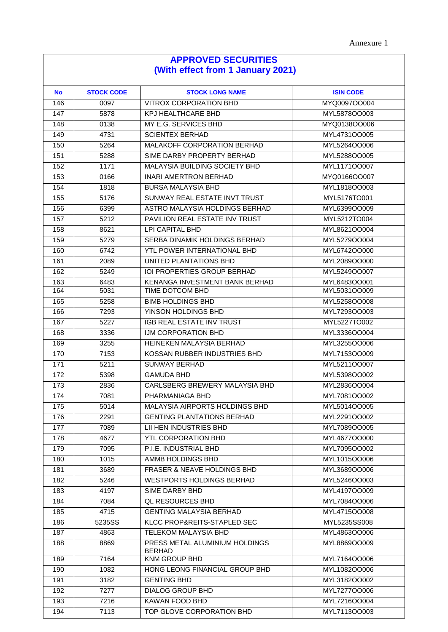## **APPROVED SECURITIES (With effect from 1 January 2021)**

| <b>No</b> | <b>STOCK CODE</b> | <b>STOCK LONG NAME</b>                          | <b>ISIN CODE</b> |
|-----------|-------------------|-------------------------------------------------|------------------|
| 146       | 0097              | <b>VITROX CORPORATION BHD</b>                   | MYQ0097OO004     |
| 147       | 5878              | KPJ HEALTHCARE BHD                              | MYL5878OO003     |
| 148       | 0138              | MY E.G. SERVICES BHD                            | MYQ0138OO006     |
| 149       | 4731              | <b>SCIENTEX BERHAD</b>                          | MYL4731OO005     |
| 150       | 5264              | MALAKOFF CORPORATION BERHAD                     | MYL5264OO006     |
| 151       | 5288              | SIME DARBY PROPERTY BERHAD                      | MYL5288OO005     |
| 152       | 1171              | MALAYSIA BUILDING SOCIETY BHD                   | MYL1171OO007     |
| 153       | 0166              | <b>INARI AMERTRON BERHAD</b>                    | MYQ0166OO007     |
| 154       | 1818              | <b>BURSA MALAYSIA BHD</b>                       | MYL1818OO003     |
| 155       | 5176              | SUNWAY REAL ESTATE INVT TRUST                   | MYL5176TO001     |
| 156       | 6399              | ASTRO MALAYSIA HOLDINGS BERHAD                  | MYL6399OO009     |
| 157       | 5212              | <b>PAVILION REAL ESTATE INV TRUST</b>           | MYL5212TO004     |
| 158       | 8621              | LPI CAPITAL BHD                                 | MYL8621OO004     |
| 159       | 5279              | SERBA DINAMIK HOLDINGS BERHAD                   | MYL5279OO004     |
| 160       | 6742              | <b>YTL POWER INTERNATIONAL BHD</b>              | MYL6742OO000     |
| 161       | 2089              | UNITED PLANTATIONS BHD                          | MYL2089OO000     |
| 162       | 5249              | IOI PROPERTIES GROUP BERHAD                     | MYL5249OO007     |
| 163       | 6483              | KENANGA INVESTMENT BANK BERHAD                  | MYL6483OO001     |
| 164       | 5031              | TIME DOTCOM BHD                                 | MYL5031OO009     |
| 165       | 5258              | <b>BIMB HOLDINGS BHD</b>                        | MYL5258OO008     |
| 166       | 7293              | YINSON HOLDINGS BHD                             | MYL7293OO003     |
| 167       | 5227              | IGB REAL ESTATE INV TRUST                       | MYL5227TO002     |
| 168       | 3336              | IJM CORPORATION BHD                             | MYL3336OO004     |
| 169       | 3255              | HEINEKEN MALAYSIA BERHAD                        | MYL3255OO006     |
| 170       | 7153              | KOSSAN RUBBER INDUSTRIES BHD                    | MYL7153OO009     |
| 171       | 5211              | <b>SUNWAY BERHAD</b>                            | MYL5211OO007     |
| 172       | 5398              | <b>GAMUDA BHD</b>                               | MYL5398OO002     |
| 173       | 2836              | CARLSBERG BREWERY MALAYSIA BHD                  | MYL2836OO004     |
| 174       | 7081              | PHARMANIAGA BHD                                 | MYL7081OO002     |
| 175       | 5014              | MALAYSIA AIRPORTS HOLDINGS BHD                  | MYL5014OO005     |
| 176       | 2291              | <b>GENTING PLANTATIONS BERHAD</b>               | MYL2291OO002     |
| 177       | 7089              | LII HEN INDUSTRIES BHD                          | MYL7089OO005     |
| 178       | 4677              | YTL CORPORATION BHD                             | MYL4677OO000     |
| 179       | 7095              | P.I.E. INDUSTRIAL BHD                           | MYL7095OO002     |
| 180       | 1015              | AMMB HOLDINGS BHD                               | MYL1015OO006     |
| 181       | 3689              | FRASER & NEAVE HOLDINGS BHD                     | MYL3689OO006     |
| 182       | 5246              | <b>WESTPORTS HOLDINGS BERHAD</b>                | MYL5246OO003     |
| 183       | 4197              | SIME DARBY BHD                                  | MYL4197OO009     |
| 184       | 7084              | <b>QL RESOURCES BHD</b>                         | MYL7084OO006     |
| 185       | 4715              | <b>GENTING MALAYSIA BERHAD</b>                  | MYL4715OO008     |
| 186       | 5235SS            | KLCC PROP&REITS-STAPLED SEC                     | MYL5235SS008     |
| 187       | 4863              | <b>TELEKOM MALAYSIA BHD</b>                     | MYL4863OO006     |
| 188       | 8869              | PRESS METAL ALUMINIUM HOLDINGS<br><b>BERHAD</b> | MYL8869OO009     |
| 189       | 7164              | <b>KNM GROUP BHD</b>                            | MYL7164OO006     |
| 190       | 1082              | HONG LEONG FINANCIAL GROUP BHD                  | MYL1082OO006     |
| 191       | 3182              | <b>GENTING BHD</b>                              | MYL3182OO002     |
| 192       | 7277              | <b>DIALOG GROUP BHD</b>                         | MYL7277OO006     |
| 193       | 7216              | KAWAN FOOD BHD                                  | MYL7216OO004     |
| 194       | 7113              | TOP GLOVE CORPORATION BHD                       | MYL7113OO003     |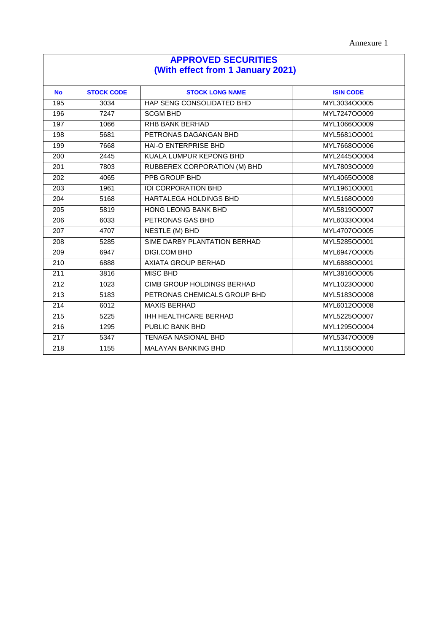| <b>APPROVED SECURITIES</b><br>(With effect from 1 January 2021) |      |                                   |              |  |
|-----------------------------------------------------------------|------|-----------------------------------|--------------|--|
|                                                                 |      |                                   |              |  |
| 195                                                             | 3034 | HAP SENG CONSOLIDATED BHD         | MYL3034OO005 |  |
| 196                                                             | 7247 | <b>SCGM BHD</b>                   | MYL7247OO009 |  |
| 197                                                             | 1066 | RHB BANK BERHAD                   | MYL1066OO009 |  |
| 198                                                             | 5681 | PETRONAS DAGANGAN BHD             | MYL5681OO001 |  |
| 199                                                             | 7668 | HAI-O ENTERPRISE BHD              | MYL7668OO006 |  |
| 200                                                             | 2445 | KUALA LUMPUR KEPONG BHD           | MYL2445OO004 |  |
| 201                                                             | 7803 | RUBBEREX CORPORATION (M) BHD      | MYL7803OO009 |  |
| 202                                                             | 4065 | <b>PPB GROUP BHD</b>              | MYL4065OO008 |  |
| 203                                                             | 1961 | IOI CORPORATION BHD               | MYL1961OO001 |  |
| 204                                                             | 5168 | HARTALEGA HOLDINGS BHD            | MYL5168OO009 |  |
| 205                                                             | 5819 | HONG LEONG BANK BHD               | MYL5819OO007 |  |
| 206                                                             | 6033 | PETRONAS GAS BHD                  | MYL6033OO004 |  |
| 207                                                             | 4707 | NESTLE (M) BHD                    | MYL4707OO005 |  |
| 208                                                             | 5285 | SIME DARBY PLANTATION BERHAD      | MYL5285OO001 |  |
| 209                                                             | 6947 | DIGI.COM BHD                      | MYL6947OO005 |  |
| 210                                                             | 6888 | AXIATA GROUP BERHAD               | MYL6888OO001 |  |
| 211                                                             | 3816 | <b>MISC BHD</b>                   | MYL3816OO005 |  |
| $\overline{212}$                                                | 1023 | <b>CIMB GROUP HOLDINGS BERHAD</b> | MYL1023OO000 |  |
| $\overline{213}$                                                | 5183 | PETRONAS CHEMICALS GROUP BHD      | MYL5183OO008 |  |
| 214                                                             | 6012 | <b>MAXIS BERHAD</b>               | MYL6012OO008 |  |
| 215                                                             | 5225 | <b>IHH HEALTHCARE BERHAD</b>      | MYL5225OO007 |  |
| 216                                                             | 1295 | PUBLIC BANK BHD                   | MYL1295OO004 |  |
| 217                                                             | 5347 | <b>TENAGA NASIONAL BHD</b>        | MYL5347OO009 |  |
| 218                                                             | 1155 | <b>MALAYAN BANKING BHD</b>        | MYL1155OO000 |  |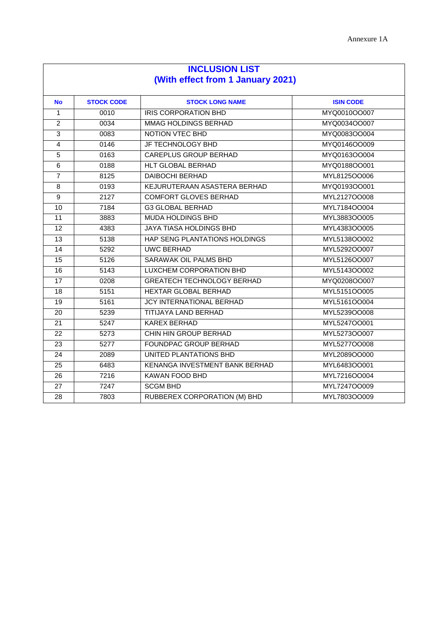| <b>INCLUSION LIST</b>             |                   |                                     |                  |  |
|-----------------------------------|-------------------|-------------------------------------|------------------|--|
| (With effect from 1 January 2021) |                   |                                     |                  |  |
| <b>No</b>                         | <b>STOCK CODE</b> | <b>STOCK LONG NAME</b>              | <b>ISIN CODE</b> |  |
| $\mathbf{1}$                      | 0010              | <b>IRIS CORPORATION BHD</b>         | MYQ0010OO007     |  |
| $\overline{2}$                    | 0034              | MMAG HOLDINGS BERHAD                | MYQ0034OO007     |  |
| $\mathbf{3}$                      | 0083              | NOTION VTEC BHD                     | MYQ0083OO004     |  |
| $\overline{4}$                    | 0146              | JF TECHNOLOGY BHD                   | MYQ0146OO009     |  |
| $\overline{5}$                    | 0163              | <b>CAREPLUS GROUP BERHAD</b>        | MYQ0163OO004     |  |
| 6                                 | 0188              | HLT GLOBAL BERHAD                   | MYQ0188OO001     |  |
| $\overline{7}$                    | 8125              | <b>DAIBOCHI BERHAD</b>              | MYL8125OO006     |  |
| 8                                 | 0193              | KEJURUTERAAN ASASTERA BERHAD        | MYQ0193OO001     |  |
| 9                                 | 2127              | <b>COMFORT GLOVES BERHAD</b>        | MYL2127OO008     |  |
| 10                                | 7184              | <b>G3 GLOBAL BERHAD</b>             | MYL7184OO004     |  |
| $\overline{11}$                   | 3883              | <b>MUDA HOLDINGS BHD</b>            | MYL3883OO005     |  |
| 12                                | 4383              | <b>JAYA TIASA HOLDINGS BHD</b>      | MYL4383OO005     |  |
| 13                                | 5138              | HAP SENG PLANTATIONS HOLDINGS       | MYL5138OO002     |  |
| 14                                | 5292              | <b>UWC BERHAD</b>                   | MYL5292OO007     |  |
| 15                                | 5126              | SARAWAK OIL PALMS BHD               | MYL5126OO007     |  |
| 16                                | 5143              | LUXCHEM CORPORATION BHD             | MYL5143OO002     |  |
| $\overline{17}$                   | 0208              | <b>GREATECH TECHNOLOGY BERHAD</b>   | MYQ0208OO007     |  |
| 18                                | 5151              | HEXTAR GLOBAL BERHAD                | MYL5151OO005     |  |
| 19                                | 5161              | <b>JCY INTERNATIONAL BERHAD</b>     | MYL5161OO004     |  |
| 20                                | 5239              | <b>TITIJAYA LAND BERHAD</b>         | MYL5239OO008     |  |
| 21                                | 5247              | KAREX BERHAD                        | MYL5247OO001     |  |
| 22                                | 5273              | CHIN HIN GROUP BERHAD               | MYL5273OO007     |  |
| 23                                | 5277              | FOUNDPAC GROUP BERHAD               | MYL5277OO008     |  |
| 24                                | 2089              | UNITED PLANTATIONS BHD              | MYL2089OO000     |  |
| 25                                | 6483              | KENANGA INVESTMENT BANK BERHAD      | MYL6483OO001     |  |
| 26                                | 7216              | <b>KAWAN FOOD BHD</b>               | MYL7216OO004     |  |
| 27                                | 7247              | <b>SCGM BHD</b>                     | MYL7247OO009     |  |
| $\overline{28}$                   | 7803              | <b>RUBBEREX CORPORATION (M) BHD</b> | MYL7803OO009     |  |